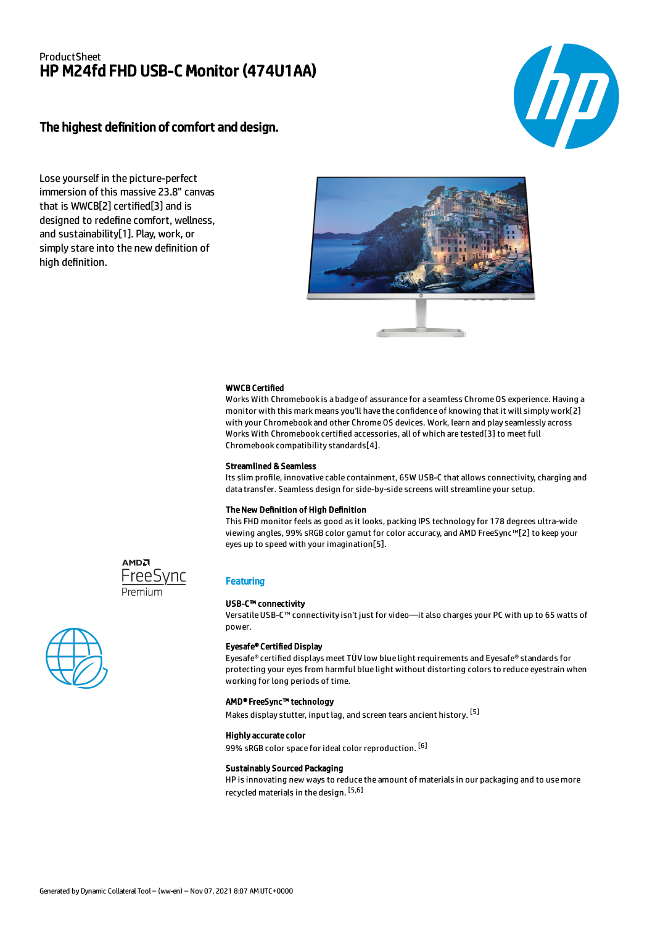# ProductSheet HP M24fd FHD USB-C Monitor (474U1AA)

# The highest definition of comfort and design.



Lose yourself in the picture-perfect immersion of this massive 23.8" canvas that is WWCB[2] certified[3] and is designed to redefine comfort, wellness, and sustainability[1]. Play, work, or simply stare into the new definition of high definition.



# WWCB Certified

Works With Chromebook is a badge of assurance for a seamless Chrome OS experience. Having a monitor with this mark means you'll have the confidence of knowing that it will simply work[2] with your Chromebook and other Chrome OS devices. Work, learn and play seamlessly across Works With Chromebook certified accessories, all of which are tested[3] to meet full Chromebook compatibility standards[4].

#### Streamlined & Seamless

Its slim profile, innovative cable containment, 65W USB-C that allows connectivity, charging and data transfer. Seamless design for side-by-side screens will streamline your setup.

# The New Definition of High Definition

This FHD monitor feels as good as it looks, packing IPS technology for 178 degrees ultra-wide viewing angles, 99% sRGB color gamut for color accuracy, and AMD FreeSync™[2] to keep your eyes up to speed with your imagination[5].







# **Featuring**

### USB-C™ connectivity

Versatile USB-C™ connectivity isn't just for video—it also charges your PC with up to 65 watts of power.

### Eyesafe® Certified Display

Eyesafe® certified displays meet TÜV low blue light requirements and Eyesafe® standards for protecting your eyes from harmful blue light without distorting colors to reduce eyestrain when working for long periods of time.

# AMD® FreeSync™ technology

Makes display stutter, input lag, and screen tears ancient history. <sup>[5]</sup>

# Highly accurate color 99% sRGB color space for ideal color reproduction. [6]

#### Sustainably Sourced Packaging

HP is innovating new ways to reduce the amount of materials in our packaging and to use more recycled materials in the design. [5,6]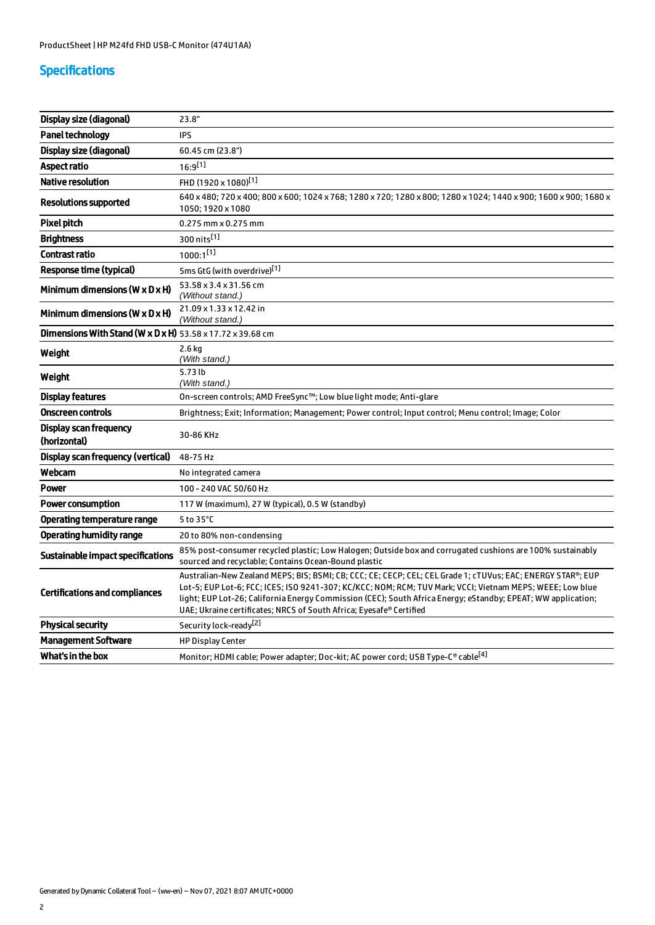# Specifications

| Display size (diagonal)                                    | 23.8"                                                                                                                                                                                                                                                                                                                                                                                                           |
|------------------------------------------------------------|-----------------------------------------------------------------------------------------------------------------------------------------------------------------------------------------------------------------------------------------------------------------------------------------------------------------------------------------------------------------------------------------------------------------|
| <b>Panel technology</b>                                    | <b>IPS</b>                                                                                                                                                                                                                                                                                                                                                                                                      |
| Display size (diagonal)                                    | 60.45 cm (23.8")                                                                                                                                                                                                                                                                                                                                                                                                |
| <b>Aspect ratio</b>                                        | $16:9^{[1]}$                                                                                                                                                                                                                                                                                                                                                                                                    |
| <b>Native resolution</b>                                   | FHD (1920 x 1080) <sup>[1]</sup>                                                                                                                                                                                                                                                                                                                                                                                |
| Resolutions supported                                      | 640 x 480; 720 x 400; 800 x 600; 1024 x 768; 1280 x 720; 1280 x 800; 1280 x 1024; 1440 x 900; 1600 x 900; 1680 x<br>1050; 1920 x 1080                                                                                                                                                                                                                                                                           |
| <b>Pixel pitch</b>                                         | $0.275$ mm $\times$ 0.275 mm                                                                                                                                                                                                                                                                                                                                                                                    |
| <b>Brightness</b>                                          | 300 nits <sup>[1]</sup>                                                                                                                                                                                                                                                                                                                                                                                         |
| <b>Contrast ratio</b>                                      | $1000:1^{[1]}$                                                                                                                                                                                                                                                                                                                                                                                                  |
| <b>Response time (typical)</b>                             | 5ms GtG (with overdrive)[1]                                                                                                                                                                                                                                                                                                                                                                                     |
| Minimum dimensions ( $W \times D \times H$ )               | 53.58 x 3.4 x 31.56 cm<br>(Without stand.)                                                                                                                                                                                                                                                                                                                                                                      |
| Minimum dimensions ( $W \times D \times H$ )               | 21.09 x 1.33 x 12.42 in<br>(Without stand.)                                                                                                                                                                                                                                                                                                                                                                     |
| Dimensions With Stand (W x D x H) 53.58 x 17.72 x 39.68 cm |                                                                                                                                                                                                                                                                                                                                                                                                                 |
| Weight                                                     | $2.6$ kg<br>(With stand.)                                                                                                                                                                                                                                                                                                                                                                                       |
| Weight                                                     | 5.73 lb<br>(With stand.)                                                                                                                                                                                                                                                                                                                                                                                        |
| Display features                                           | On-screen controls; AMD FreeSync™; Low blue light mode; Anti-glare                                                                                                                                                                                                                                                                                                                                              |
| <b>Onscreen controls</b>                                   | Brightness; Exit; Information; Management; Power control; Input control; Menu control; Image; Color                                                                                                                                                                                                                                                                                                             |
| Display scan frequency<br>(horizontal)                     | 30-86 KHz                                                                                                                                                                                                                                                                                                                                                                                                       |
| <b>Display scan frequency (vertical)</b>                   | 48-75 Hz                                                                                                                                                                                                                                                                                                                                                                                                        |
| Webcam                                                     | No integrated camera                                                                                                                                                                                                                                                                                                                                                                                            |
| <b>Power</b>                                               | 100 - 240 VAC 50/60 Hz                                                                                                                                                                                                                                                                                                                                                                                          |
| <b>Power consumption</b>                                   | 117 W (maximum), 27 W (typical), 0.5 W (standby)                                                                                                                                                                                                                                                                                                                                                                |
| <b>Operating temperature range</b>                         | 5 to 35°C                                                                                                                                                                                                                                                                                                                                                                                                       |
| <b>Operating humidity range</b>                            | 20 to 80% non-condensing                                                                                                                                                                                                                                                                                                                                                                                        |
| <b>Sustainable impact specifications</b>                   | 85% post-consumer recycled plastic; Low Halogen; Outside box and corrugated cushions are 100% sustainably<br>sourced and recyclable; Contains Ocean-Bound plastic                                                                                                                                                                                                                                               |
| <b>Certifications and compliances</b>                      | Australian-New Zealand MEPS; BIS; BSMI; CB; CCC; CE; CECP; CEL; CEL Grade 1; cTUVus; EAC; ENERGY STAR®; EUP<br>Lot-5; EUP Lot-6; FCC; ICES; ISO 9241-307; KC/KCC; NOM; RCM; TUV Mark; VCCI; Vietnam MEPS; WEEE; Low blue<br>light; EUP Lot-26; California Energy Commission (CEC); South Africa Energy; eStandby; EPEAT; WW application;<br>UAE; Ukraine certificates; NRCS of South Africa; Eyesafe® Certified |
| <b>Physical security</b>                                   | Security lock-ready <sup>[2]</sup>                                                                                                                                                                                                                                                                                                                                                                              |
| <b>Management Software</b>                                 | <b>HP Display Center</b>                                                                                                                                                                                                                                                                                                                                                                                        |
| What's in the box                                          | Monitor; HDMI cable; Power adapter; Doc-kit; AC power cord; USB Type-C® cable <sup>[4]</sup>                                                                                                                                                                                                                                                                                                                    |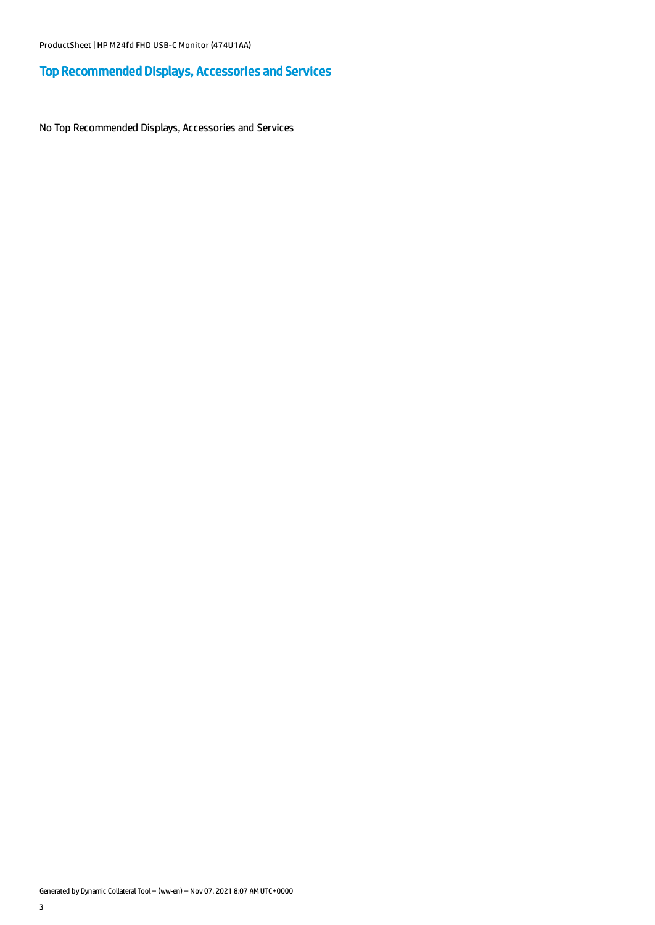# Top Recommended Displays, Accessories and Services

No Top Recommended Displays, Accessories and Services